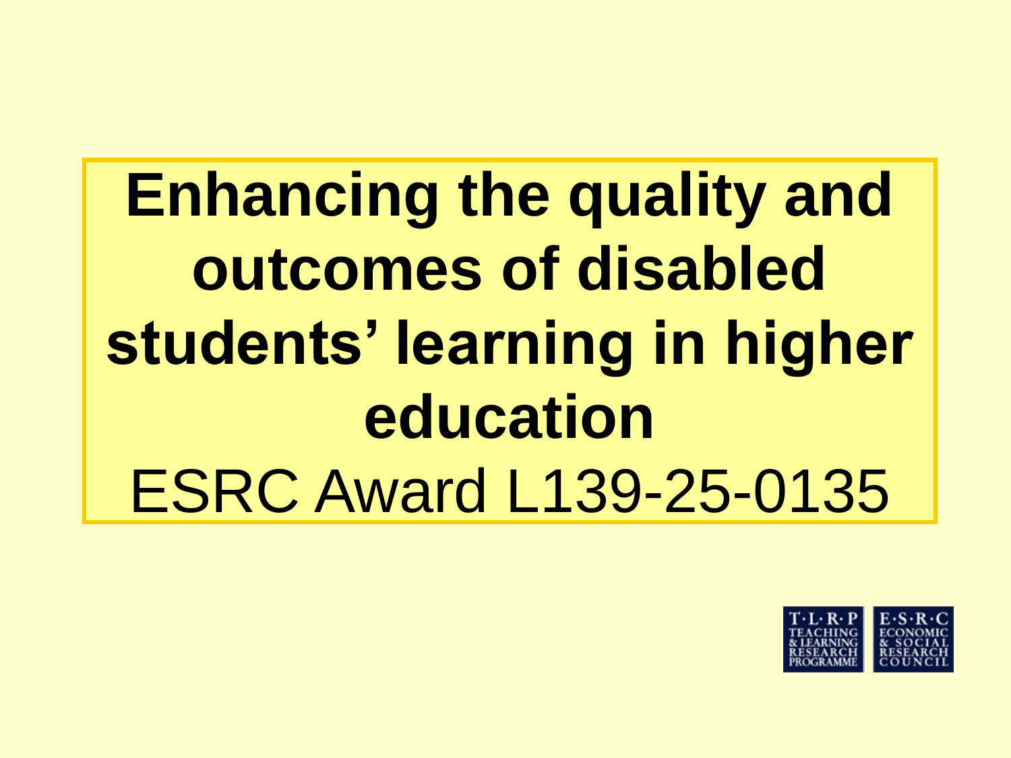# **Enhancing the quality and outcomes of disabled students' learning in higher education** ESRC Award L139-25-0135

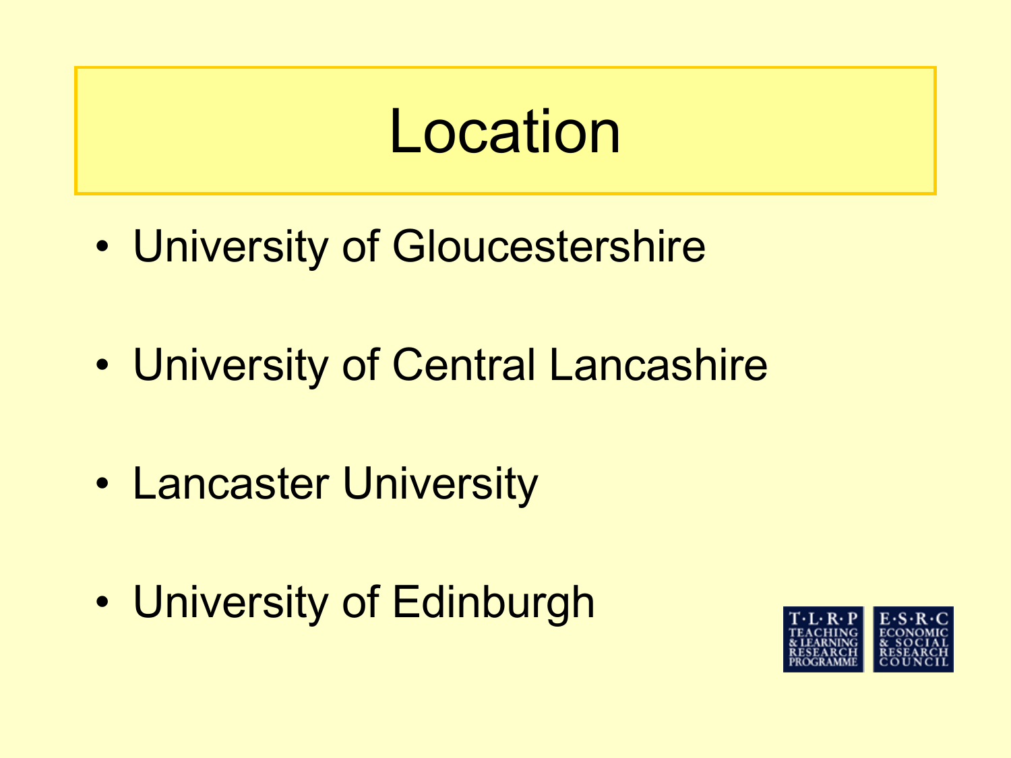### Location

- University of Gloucestershire
- University of Central Lancashire
- Lancaster University
- University of Edinburgh

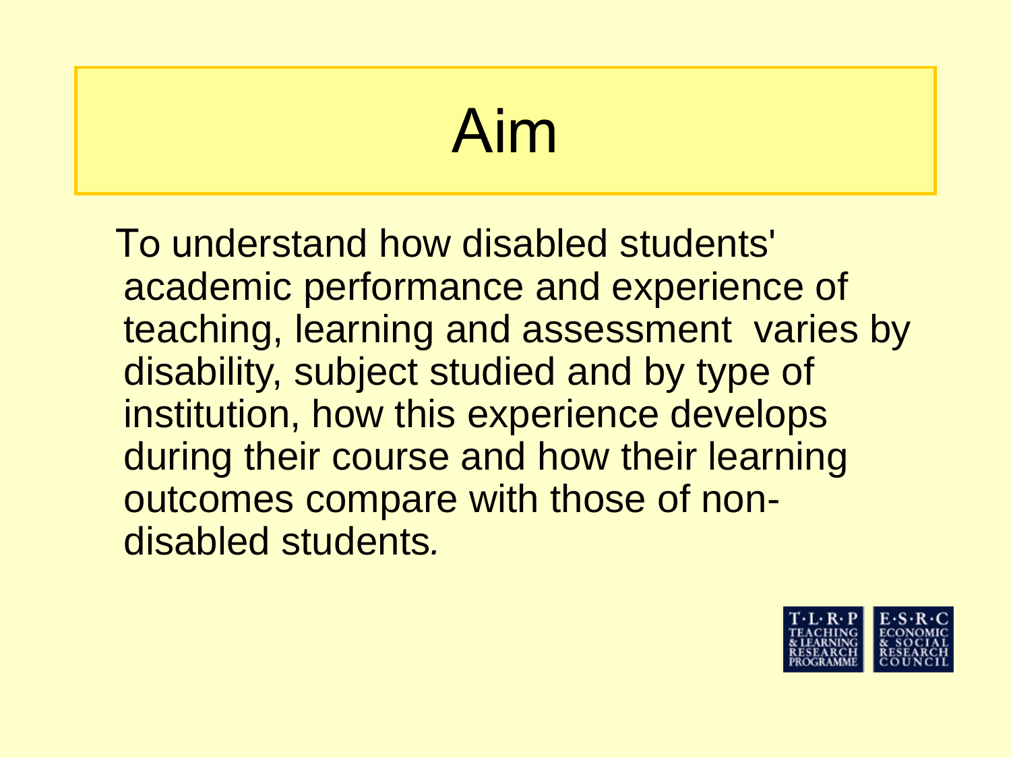# Aim

To understand how disabled students' academic performance and experience of teaching, learning and assessment varies by disability, subject studied and by type of institution, how this experience develops during their course and how their learning outcomes compare with those of nondisabled students*.*

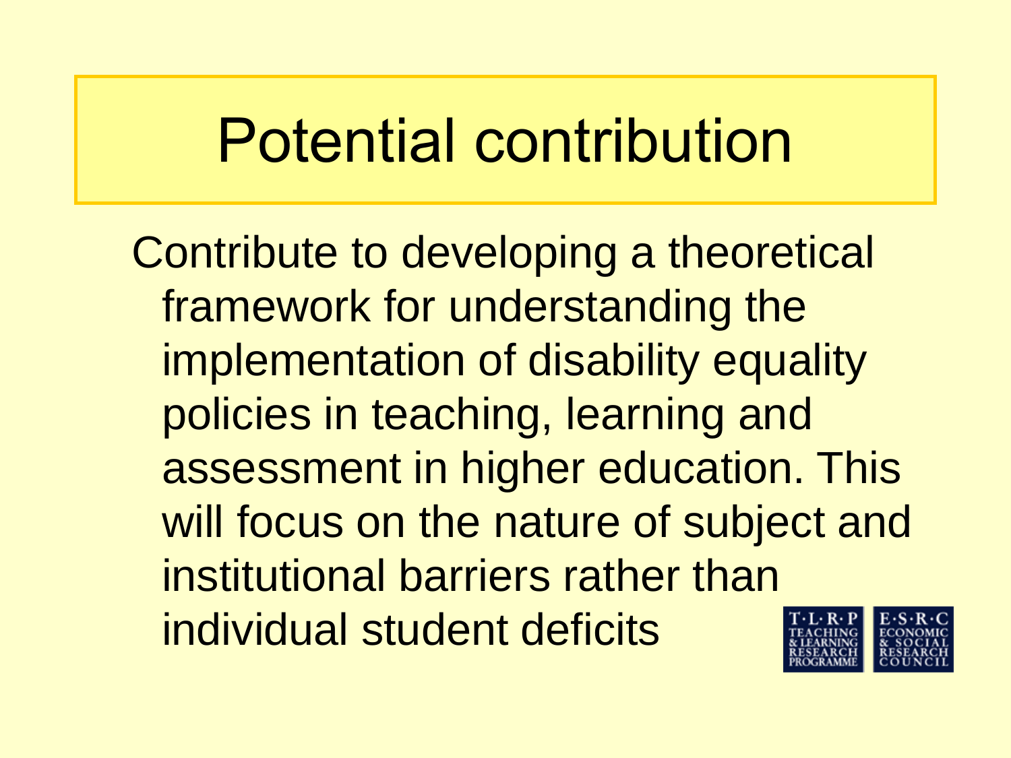Contribute to developing a theoretical framework for understanding the implementation of disability equality policies in teaching, learning and assessment in higher education. This will focus on the nature of subject and institutional barriers rather than individual student deficits

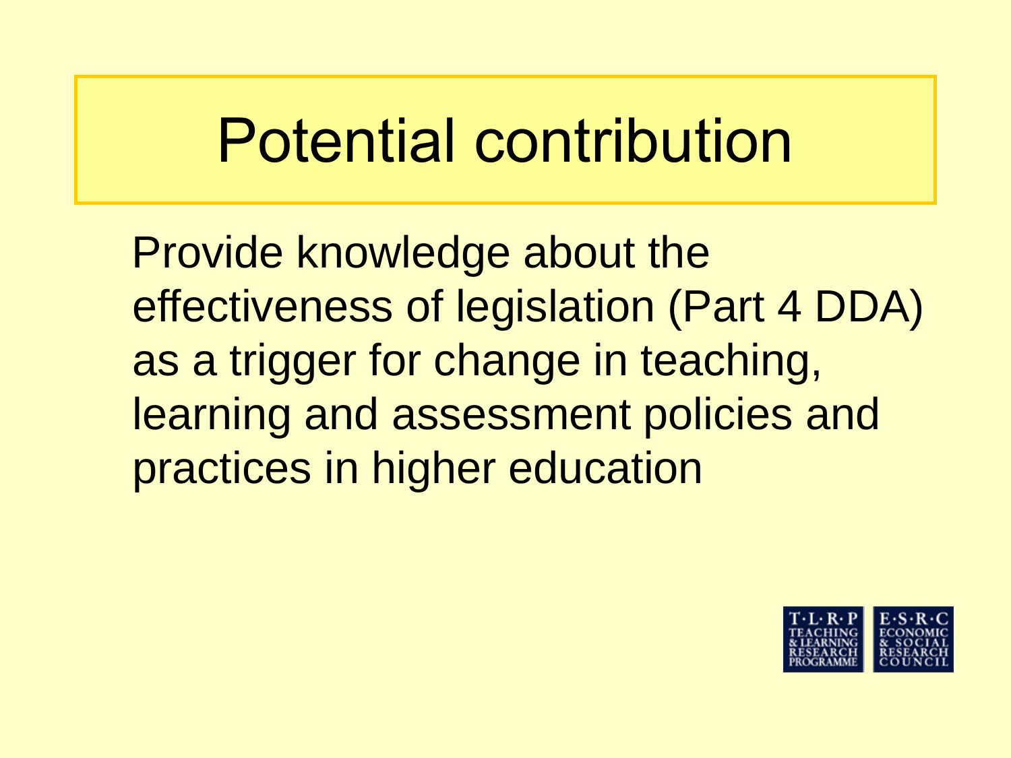Provide knowledge about the effectiveness of legislation (Part 4 DDA) as a trigger for change in teaching, learning and assessment policies and practices in higher education

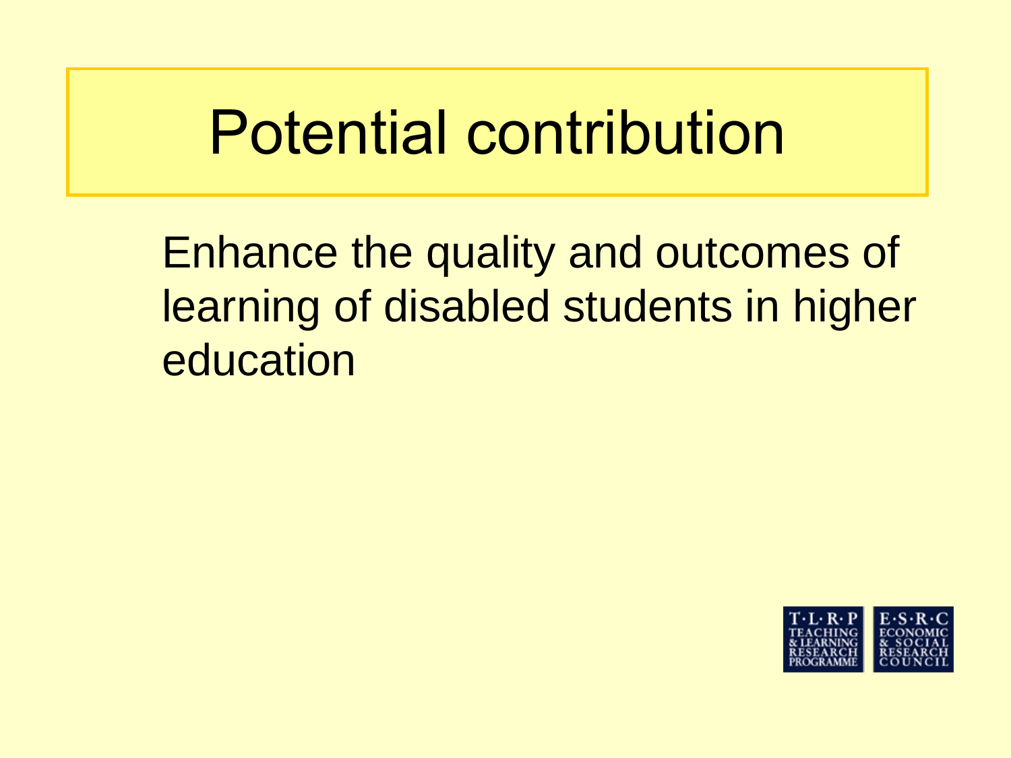Enhance the quality and outcomes of learning of disabled students in higher education

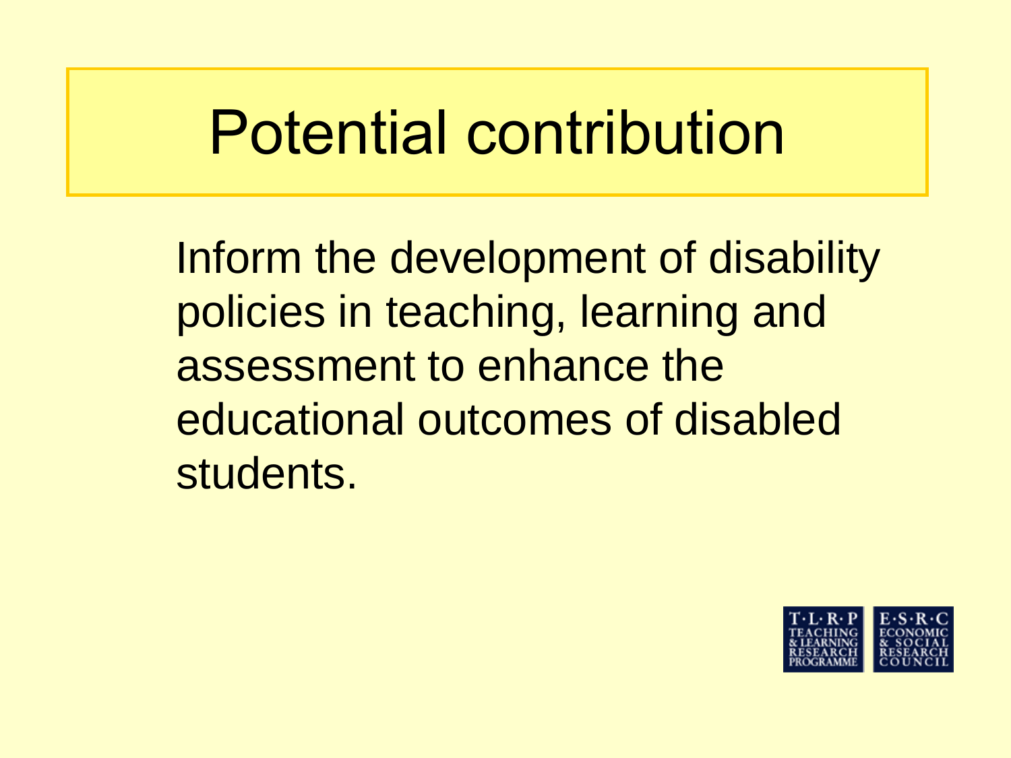Inform the development of disability policies in teaching, learning and assessment to enhance the educational outcomes of disabled students.